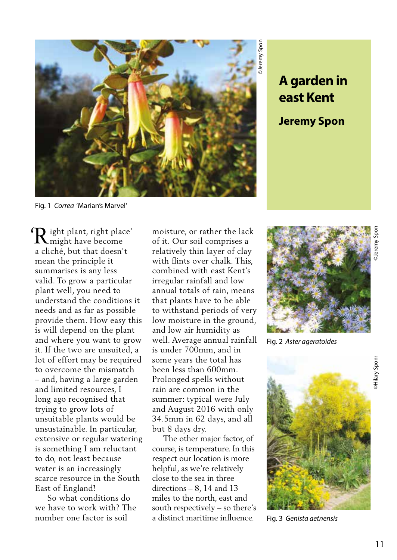

**east Kent**

**Jeremy Spon**

Fig. 1 *Correa* 'Marian's Marvel'

 $\mathbf{\Omega}$  ight plant, right place' Right plant, right plack<br>might have become a cliché, but that doesn't mean the principle it summarises is any less valid. To grow a particular plant well, you need to understand the conditions it needs and as far as possible provide them. How easy this is will depend on the plant and where you want to grow it. If the two are unsuited, a lot of effort may be required to overcome the mismatch – and, having a large garden and limited resources, I long ago recognised that trying to grow lots of unsuitable plants would be unsustainable. In particular, extensive or regular watering is something I am reluctant to do, not least because water is an increasingly scarce resource in the South East of England!

 So what conditions do we have to work with? The number one factor is soil

moisture, or rather the lack of it. Our soil comprises a relatively thin layer of clay with flints over chalk. This, combined with east Kent's irregular rainfall and low annual totals of rain, means that plants have to be able to withstand periods of very low moisture in the ground, and low air humidity as well. Average annual rainfall is under 700mm, and in some years the total has been less than 600mm. Prolonged spells without rain are common in the summer: typical were July and August 2016 with only 34.5mm in 62 days, and all but 8 days dry.

 The other major factor, of course, is temperature. In this respect our location is more helpful, as we're relatively close to the sea in three directions – 8, 14 and 13 miles to the north, east and south respectively – so there's a distinct maritime influence.



Fig. 2 *Aster ageratoides*



Fig. 3 *Genista aetnensis*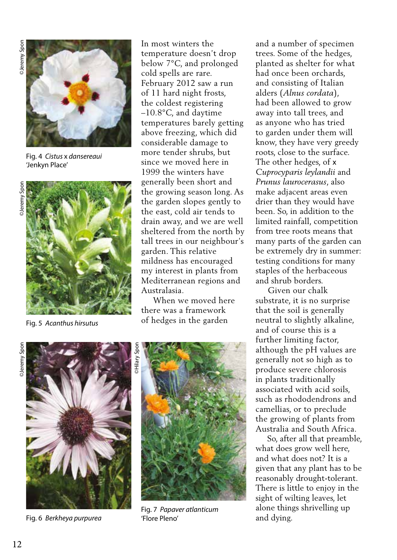

Fig. 4 *Cistus* x *dansereaui* 'Jenkyn Place'



Fig. 5 *Acanthus hirsutus* 

In most winters the temperature doesn't drop below 7°C, and prolonged cold spells are rare. February 2012 saw a run of 11 hard night frosts, the coldest registering –10.8°C, and daytime temperatures barely getting above freezing, which did considerable damage to more tender shrubs, but since we moved here in 1999 the winters have generally been short and the growing season long. As the garden slopes gently to the east, cold air tends to drain away, and we are well sheltered from the north by tall trees in our neighbour's garden. This relative mildness has encouraged my interest in plants from Mediterranean regions and Australasia.

 When we moved here there was a framework of hedges in the garden

©Jeremy Spon ©Jeremy Spon ©Jeremy Spon **Deremy** Spon



Fig. 6 *Berkheya purpurea* 



Fig. 7 *Papaver atlanticum*  'Flore Pleno'

and a number of specimen trees. Some of the hedges, planted as shelter for what had once been orchards, and consisting of Italian alders (*Alnus cordata*), had been allowed to grow away into tall trees, and as anyone who has tried to garden under them will know, they have very greedy roots, close to the surface. The other hedges, of x *Cuprocyparis leylandii* and *Prunus laurocerasus*, also make adjacent areas even drier than they would have been. So, in addition to the limited rainfall, competition from tree roots means that many parts of the garden can be extremely dry in summer: testing conditions for many staples of the herbaceous and shrub borders.

 Given our chalk substrate, it is no surprise that the soil is generally neutral to slightly alkaline, and of course this is a further limiting factor, although the pH values are generally not so high as to produce severe chlorosis in plants traditionally associated with acid soils, such as rhododendrons and camellias, or to preclude the growing of plants from Australia and South Africa.

 So, after all that preamble, what does grow well here, and what does not? It is a given that any plant has to be reasonably drought-tolerant. There is little to enjoy in the sight of wilting leaves, let alone things shrivelling up and dying.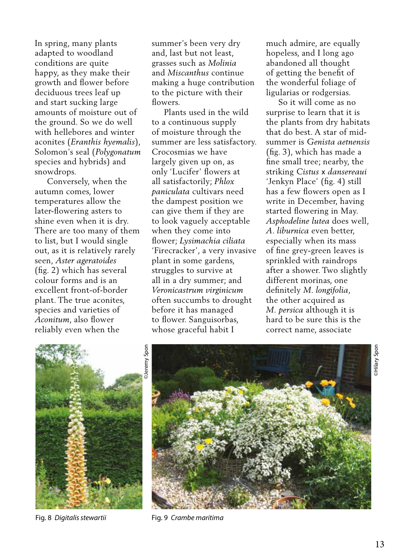In spring, many plants adapted to woodland conditions are quite happy, as they make their growth and flower before deciduous trees leaf up and start sucking large amounts of moisture out of the ground. So we do well with hellebores and winter aconites (*Eranthis hyemalis*), Solomon's seal (*Polygonatum* species and hybrids) and snowdrops.

 Conversely, when the autumn comes, lower temperatures allow the later-flowering asters to shine even when it is dry. There are too many of them to list, but I would single out, as it is relatively rarely seen, *Aster ageratoides* (fig. 2) which has several colour forms and is an excellent front-of-border plant. The true aconites, species and varieties of *Aconitum*, also flower reliably even when the

summer's been very dry and, last but not least, grasses such as *Molinia* and *Miscanthus* continue making a huge contribution to the picture with their flowers.

 Plants used in the wild to a continuous supply of moisture through the summer are less satisfactory. Crocosmias we have largely given up on, as only 'Lucifer' flowers at all satisfactorily; *Phlox paniculata* cultivars need the dampest position we can give them if they are to look vaguely acceptable when they come into flower; *Lysimachia ciliata* 'Firecracker', a very invasive plant in some gardens, struggles to survive at all in a dry summer; and *Veronicastrum virginicum* often succumbs to drought before it has managed to flower. Sanguisorbas, whose graceful habit I

much admire, are equally hopeless, and I long ago abandoned all thought of getting the benefit of the wonderful foliage of ligularias or rodgersias.

 So it will come as no surprise to learn that it is the plants from dry habitats that do best. A star of midsummer is *Genista aetnensis*  (fig. 3), which has made a fine small tree; nearby, the striking *Cistus* x *dansereaui*  'Jenkyn Place' (fig. 4) still has a few flowers open as I write in December, having started flowering in May. *Asphodeline lutea* does well, *A. liburnica* even better, especially when its mass of fine grey-green leaves is sprinkled with raindrops after a shower. Two slightly different morinas, one definitely *M. longifolia*, the other acquired as *M. persica* although it is hard to be sure this is the correct name, associate





Fig. 8 *Digitalis stewartii* Fig. 9 *Crambe maritima*

©Hilary Spon

**Hilary Spor**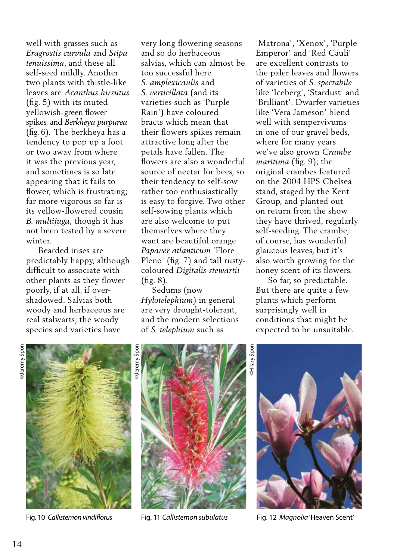well with grasses such as *Eragrostis curvula* and *Stipa tenuissima*, and these all self-seed mildly. Another two plants with thistle-like leaves are *Acanthus hirsutus* (fig. 5) with its muted yellowish-green flower spikes, and *Berkheya purpurea* (fig. 6). The berkheya has a tendency to pop up a foot or two away from where it was the previous year, and sometimes is so late appearing that it fails to flower, which is frustrating; far more vigorous so far is its yellow-flowered cousin *B. multijuga*, though it has not been tested by a severe winter.

 Bearded irises are predictably happy, although difficult to associate with other plants as they flower poorly, if at all, if overshadowed. Salvias both woody and herbaceous are real stalwarts; the woody species and varieties have

very long flowering seasons and so do herbaceous salvias, which can almost be too successful here. *S. amplexicaulis* and *S. verticillata* (and its varieties such as 'Purple Rain') have coloured bracts which mean that their flowers spikes remain attractive long after the petals have fallen. The flowers are also a wonderful source of nectar for bees, so their tendency to self-sow rather too enthusiastically is easy to forgive. Two other self-sowing plants which are also welcome to put themselves where they want are beautiful orange *Papaver atlanticum* 'Flore Pleno' (fig. 7) and tall rustycoloured *Digitalis stewartii*  (fig. 8).

 Sedums (now *Hylotelephium*) in general are very drought-tolerant, and the modern selections of *S. telephium* such as

'Matrona', 'Xenox', 'Purple Emperor' and 'Red Cauli' are excellent contrasts to the paler leaves and flowers of varieties of *S. spectabile*  like 'Iceberg', 'Stardust' and 'Brilliant'. Dwarfer varieties like 'Vera Jameson' blend well with sempervivums in one of our gravel beds, where for many years we've also grown *Crambe maritima* (fig. 9); the original crambes featured on the 2004 HPS Chelsea stand, staged by the Kent Group, and planted out on return from the show they have thrived, regularly self-seeding. The crambe, of course, has wonderful glaucous leaves, but it's also worth growing for the honey scent of its flowers.

 So far, so predictable. But there are quite a few plants which perform surprisingly well in conditions that might be expected to be unsuitable.









Fig. 10 *Callistemon viridiflorus* Fig. 11 *Callistemon subulatus* Fig. 12 *Magnolia* 'Heaven Scent'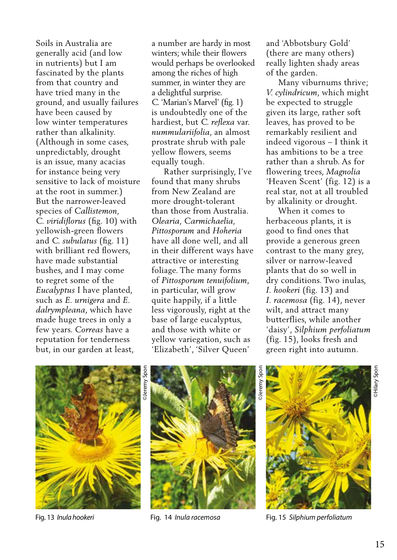Soils in Australia are generally acid (and low in nutrients) but I am fascinated by the plants from that country and have tried many in the ground, and usually failures have been caused by low winter temperatures rather than alkalinity. (Although in some cases, unpredictably, drought is an issue, many acacias for instance being very sensitive to lack of moisture at the root in summer.) But the narrower-leaved species of *Callistemon, C. viridiflorus* (fig. 10) with yellowish-green flowers and *C. subulatus* (fig. 11) with brilliant red flowers, have made substantial bushes, and I may come to regret some of the *Eucalyptus* I have planted, such as *E. urnigera* and *E. dalrympleana*, which have made huge trees in only a few years. *Correas* have a reputation for tenderness but, in our garden at least,

a number are hardy in most winters; while their flowers would perhaps be overlooked among the riches of high summer, in winter they are a delightful surprise. *C.* 'Marian's Marvel' (fig. 1) is undoubtedly one of the hardiest, but *C. reflexa* var. *nummulariifolia*, an almost prostrate shrub with pale yellow flowers, seems equally tough.

 Rather surprisingly, I've found that many shrubs from New Zealand are more drought-tolerant than those from Australia. *Olearia, Carmichaelia, Pittosporum* and *Hoheria* have all done well, and all in their different ways have attractive or interesting foliage. The many forms of *Pittosporum tenuifolium*, in particular, will grow quite happily, if a little less vigorously, right at the base of large eucalyptus, and those with white or yellow variegation, such as 'Elizabeth', 'Silver Queen'

and 'Abbotsbury Gold' (there are many others) really lighten shady areas of the garden.

 Many viburnums thrive; *V. cylindricum*, which might be expected to struggle given its large, rather soft leaves, has proved to be remarkably resilient and indeed vigorous – I think it has ambitions to be a tree rather than a shrub. As for flowering trees, *Magnolia*  'Heaven Scent' (fig. 12) is a real star, not at all troubled by alkalinity or drought.

 When it comes to herbaceous plants, it is good to find ones that provide a generous green contrast to the many grey, silver or narrow-leaved plants that do so well in dry conditions. Two inulas, *I. hookeri* (fig. 13) and *I. racemosa* (fig. 14), never wilt, and attract many butterflies, while another 'daisy', *Silphium perfoliatum* (fig. 15), looks fresh and green right into autumn.







Fig. 13 *Inula hookeri* Fig. 14 *Inula racemosa* Fig. 15 *Silphium perfoliatum*